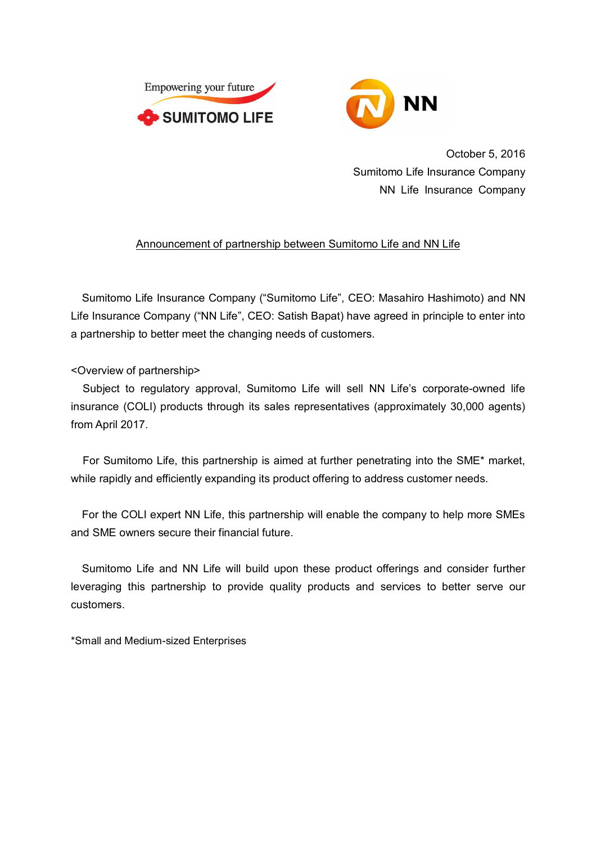



October 5, 2016 Sumitomo Life Insurance Company NN Life Insurance Company

## Announcement of partnership between Sumitomo Life and NN Life

Sumitomo Life Insurance Company ("Sumitomo Life", CEO: Masahiro Hashimoto) and NN Life Insurance Company ("NN Life", CEO: Satish Bapat) have agreed in principle to enter into a partnership to better meet the changing needs of customers.

## <Overview of partnership>

Subject to regulatory approval, Sumitomo Life will sell NN Life's corporate-owned life insurance (COLI) products through its sales representatives (approximately 30,000 agents) from April 2017.

For Sumitomo Life, this partnership is aimed at further penetrating into the SME\* market, while rapidly and efficiently expanding its product offering to address customer needs.

For the COLI expert NN Life, this partnership will enable the company to help more SMEs and SME owners secure their financial future.

Sumitomo Life and NN Life will build upon these product offerings and consider further leveraging this partnership to provide quality products and services to better serve our customers.

\*Small and Medium-sized Enterprises